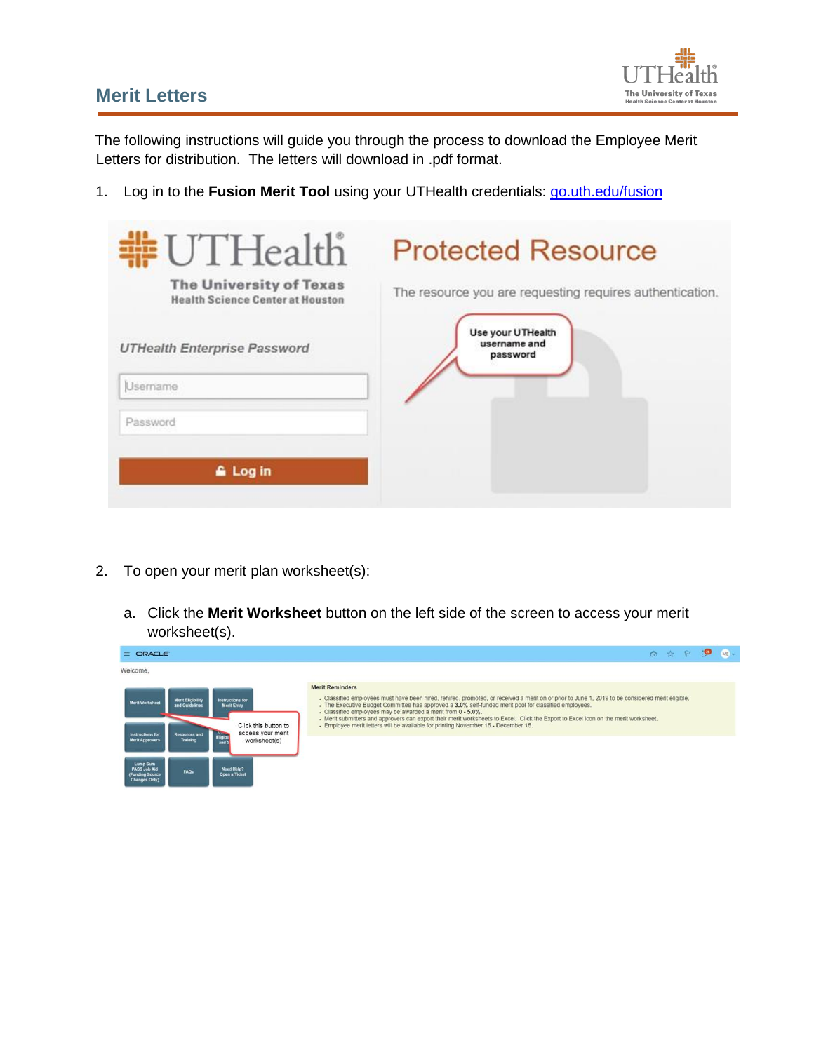## **Merit Letters**



The following instructions will guide you through the process to download the Employee Merit Letters for distribution. The letters will download in .pdf format.

1. Log in to the **Fusion Merit Tool** using your UTHealth credentials: go.uth.edu/fusion

| #UTHealth<br><b>The University of Texas</b><br><b>Health Science Center at Houston</b> | <b>Protected Resource</b><br>The resource you are requesting requires authentication. |
|----------------------------------------------------------------------------------------|---------------------------------------------------------------------------------------|
| <b>UTHealth Enterprise Password</b><br>Username                                        | Use your UTHealth<br>username and<br>password                                         |
| Password                                                                               |                                                                                       |
| <b>A</b> Log in                                                                        |                                                                                       |

- 2. To open your merit plan worksheet(s):
	- a. Click the **Merit Worksheet** button on the left side of the screen to access your merit worksheet(s).

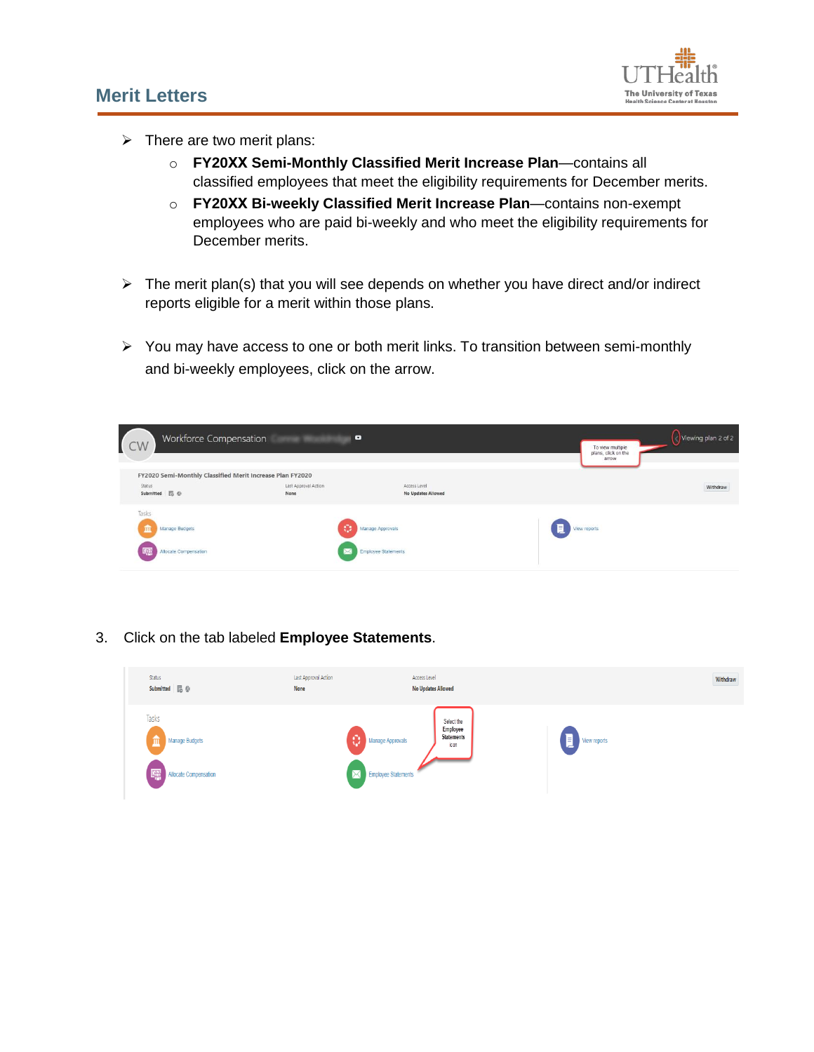## **Merit Letters**



- $\triangleright$  There are two merit plans:
	- o **FY20XX Semi-Monthly Classified Merit Increase Plan**—contains all classified employees that meet the eligibility requirements for December merits.
	- o **FY20XX Bi-weekly Classified Merit Increase Plan**—contains non-exempt employees who are paid bi-weekly and who meet the eligibility requirements for December merits.
- $\triangleright$  The merit plan(s) that you will see depends on whether you have direct and/or indirect reports eligible for a merit within those plans.
- $\triangleright$  You may have access to one or both merit links. To transition between semi-monthly and bi-weekly employees, click on the arrow.

| Workforce Compensation<br>CW                                 | ۰                            |                                                       | To view multiple<br>plans, click on the<br>arrow | Viewing plan 2 of 2 |
|--------------------------------------------------------------|------------------------------|-------------------------------------------------------|--------------------------------------------------|---------------------|
| FY2020 Semi-Monthly Classified Merit Increase Plan FY2020    |                              |                                                       |                                                  |                     |
| Status<br>Submitted <b>區</b> @                               | Last Approval Action<br>None | Access Level<br>No Updates Allowed                    |                                                  | Withdraw            |
| Tasks<br><b>Manage Budgets</b><br>m<br>Allocate Compensation |                              | <b>Manage Approvals</b><br><b>Employee Statements</b> | View reports                                     |                     |

3. Click on the tab labeled **Employee Statements**.